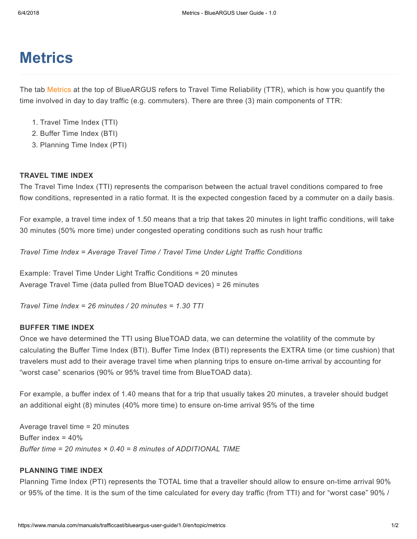# **Metrics**

The tab Metrics at the top of BlueARGUS refers to Travel Time Reliability (TTR), which is how you quantify the time involved in day to day traffic (e.g. commuters). There are three (3) main components of TTR:

- 1. Travel Time Index (TTI)
- 2. Buffer Time Index (BTI)
- 3. Planning Time Index (PTI)

### TRAVEL TIME INDEX

The Travel Time Index (TTI) represents the comparison between the actual travel conditions compared to free flow conditions, represented in a ratio format. It is the expected congestion faced by a commuter on a daily basis.

For example, a travel time index of 1.50 means that a trip that takes 20 minutes in light traffic conditions, will take 30 minutes (50% more time) under congested operating conditions such as rush hour traffic

Travel Time Index = Average Travel Time / Travel Time Under Light Traffic Conditions

Example: Travel Time Under Light Traffic Conditions = 20 minutes Average Travel Time (data pulled from BlueTOAD devices) = 26 minutes

Travel Time Index = 26 minutes / 20 minutes = 1.30 TTI

### BUFFER TIME INDEX

Once we have determined the TTI using BlueTOAD data, we can determine the volatility of the commute by calculating the Buffer Time Index (BTI). Buffer Time Index (BTI) represents the EXTRA time (or time cushion) that travelers must add to their average travel time when planning trips to ensure on-time arrival by accounting for "worst case" scenarios (90% or 95% travel time from BlueTOAD data).

For example, a buffer index of 1.40 means that for a trip that usually takes 20 minutes, a traveler should budget an additional eight (8) minutes (40% more time) to ensure on-time arrival 95% of the time

Average travel time = 20 minutes Buffer index = 40% Buffer time = 20 minutes  $\times$  0.40 = 8 minutes of ADDITIONAL TIME

### PLANNING TIME INDEX

Planning Time Index (PTI) represents the TOTAL time that a traveller should allow to ensure on-time arrival 90% or 95% of the time. It is the sum of the time calculated for every day traffic (from TTI) and for "worst case" 90% /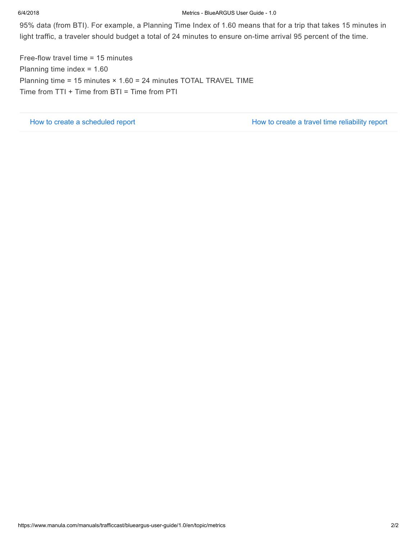#### 6/4/2018 Metrics - BlueARGUS User Guide - 1.0

95% data (from BTI). For example, a Planning Time Index of 1.60 means that for a trip that takes 15 minutes in light traffic, a traveler should budget a total of 24 minutes to ensure on-time arrival 95 percent of the time.

Free-flow travel time = 15 minutes Planning time index = 1.60 Planning time = 15 minutes × 1.60 = 24 minutes TOTAL TRAVEL TIME Time from TTI + Time from BTI = Time from PTI

[How to create a scheduled report](https://www.manula.com/manuals/trafficcast/blueargus-user-guide/1.0/en/topic/how-to-create-a-scheduled-report) [How to create a travel time reliability report](https://www.manula.com/manuals/trafficcast/blueargus-user-guide/1.0/en/topic/how-to-create-a-ttr-report)